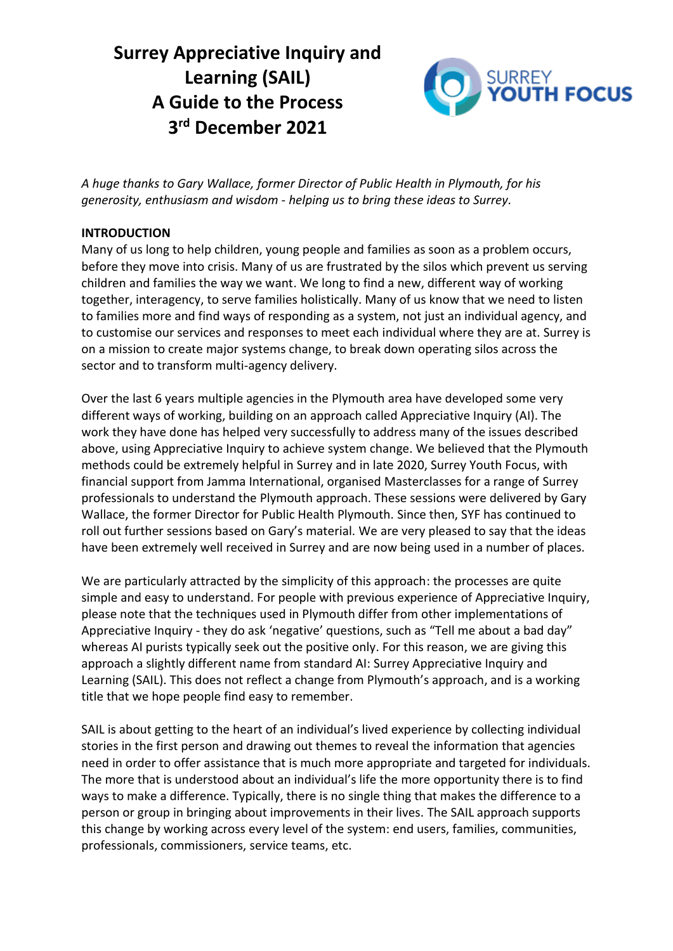# **Surrey Appreciative Inquiry and Learning (SAIL) A Guide to the Process 3 rd December 2021**



*A huge thanks to Gary Wallace, former Director of Public Health in Plymouth, for his generosity, enthusiasm and wisdom - helping us to bring these ideas to Surrey.*

# **INTRODUCTION**

Many of us long to help children, young people and families as soon as a problem occurs, before they move into crisis. Many of us are frustrated by the silos which prevent us serving children and families the way we want. We long to find a new, different way of working together, interagency, to serve families holistically. Many of us know that we need to listen to families more and find ways of responding as a system, not just an individual agency, and to customise our services and responses to meet each individual where they are at. Surrey is on a mission to create major systems change, to break down operating silos across the sector and to transform multi-agency delivery.

Over the last 6 years multiple agencies in the Plymouth area have developed some very different ways of working, building on an approach called Appreciative Inquiry (AI). The work they have done has helped very successfully to address many of the issues described above, using Appreciative Inquiry to achieve system change. We believed that the Plymouth methods could be extremely helpful in Surrey and in late 2020, Surrey Youth Focus, with financial support from Jamma International, organised Masterclasses for a range of Surrey professionals to understand the Plymouth approach. These sessions were delivered by Gary Wallace, the former Director for Public Health Plymouth. Since then, SYF has continued to roll out further sessions based on Gary's material. We are very pleased to say that the ideas have been extremely well received in Surrey and are now being used in a number of places.

We are particularly attracted by the simplicity of this approach: the processes are quite simple and easy to understand. For people with previous experience of Appreciative Inquiry, please note that the techniques used in Plymouth differ from other implementations of Appreciative Inquiry - they do ask 'negative' questions, such as "Tell me about a bad day" whereas AI purists typically seek out the positive only. For this reason, we are giving this approach a slightly different name from standard AI: Surrey Appreciative Inquiry and Learning (SAIL). This does not reflect a change from Plymouth's approach, and is a working title that we hope people find easy to remember.

SAIL is about getting to the heart of an individual's lived experience by collecting individual stories in the first person and drawing out themes to reveal the information that agencies need in order to offer assistance that is much more appropriate and targeted for individuals. The more that is understood about an individual's life the more opportunity there is to find ways to make a difference. Typically, there is no single thing that makes the difference to a person or group in bringing about improvements in their lives. The SAIL approach supports this change by working across every level of the system: end users, families, communities, professionals, commissioners, service teams, etc.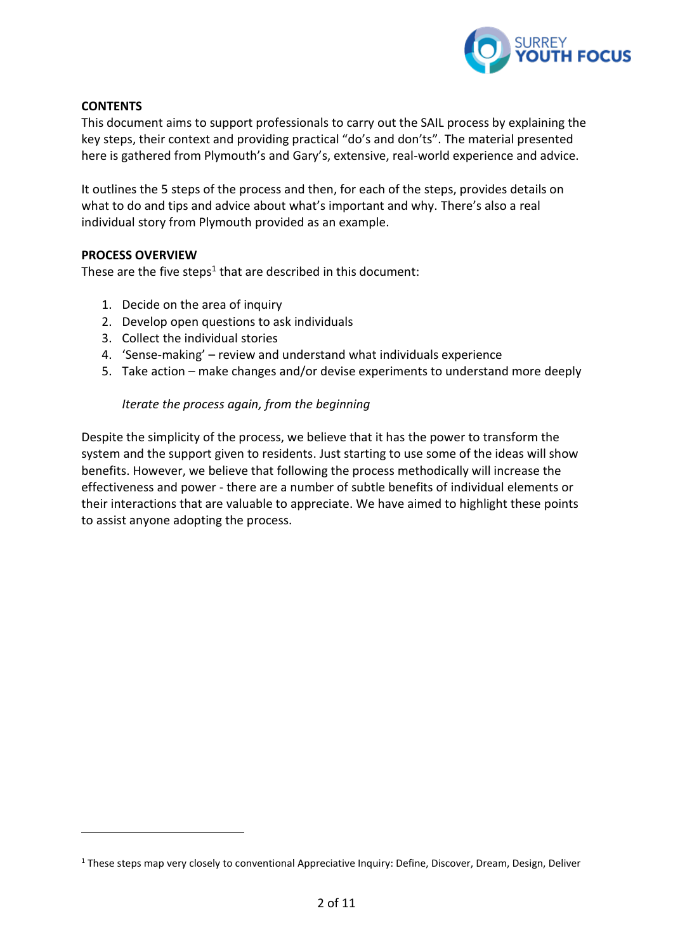

# **CONTENTS**

This document aims to support professionals to carry out the SAIL process by explaining the key steps, their context and providing practical "do's and don'ts". The material presented here is gathered from Plymouth's and Gary's, extensive, real-world experience and advice.

It outlines the 5 steps of the process and then, for each of the steps, provides details on what to do and tips and advice about what's important and why. There's also a real individual story from Plymouth provided as an example.

#### **PROCESS OVERVIEW**

These are the five steps<sup>1</sup> that are described in this document:

- 1. Decide on the area of inquiry
- 2. Develop open questions to ask individuals
- 3. Collect the individual stories
- 4. 'Sense-making' review and understand what individuals experience
- 5. Take action make changes and/or devise experiments to understand more deeply

#### *Iterate the process again, from the beginning*

Despite the simplicity of the process, we believe that it has the power to transform the system and the support given to residents. Just starting to use some of the ideas will show benefits. However, we believe that following the process methodically will increase the effectiveness and power - there are a number of subtle benefits of individual elements or their interactions that are valuable to appreciate. We have aimed to highlight these points to assist anyone adopting the process.

<sup>1</sup> These steps map very closely to conventional Appreciative Inquiry: Define, Discover, Dream, Design, Deliver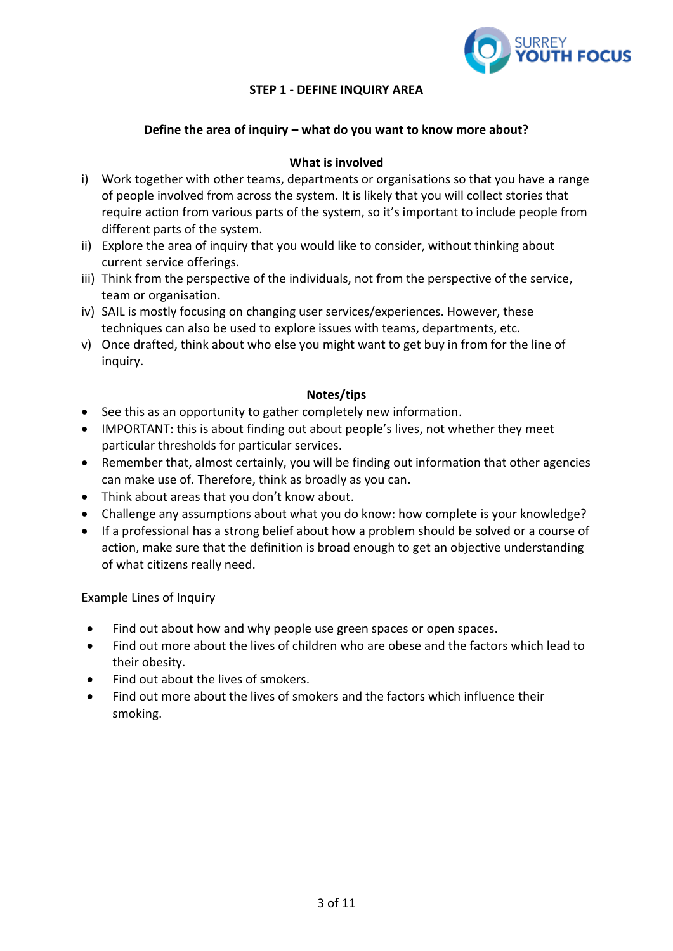

# **STEP 1 - DEFINE INQUIRY AREA**

# **Define the area of inquiry – what do you want to know more about?**

# **What is involved**

- i) Work together with other teams, departments or organisations so that you have a range of people involved from across the system. It is likely that you will collect stories that require action from various parts of the system, so it's important to include people from different parts of the system.
- ii) Explore the area of inquiry that you would like to consider, without thinking about current service offerings.
- iii) Think from the perspective of the individuals, not from the perspective of the service, team or organisation.
- iv) SAIL is mostly focusing on changing user services/experiences. However, these techniques can also be used to explore issues with teams, departments, etc.
- v) Once drafted, think about who else you might want to get buy in from for the line of inquiry.

#### **Notes/tips**

- See this as an opportunity to gather completely new information.
- IMPORTANT: this is about finding out about people's lives, not whether they meet particular thresholds for particular services.
- Remember that, almost certainly, you will be finding out information that other agencies can make use of. Therefore, think as broadly as you can.
- Think about areas that you don't know about.
- Challenge any assumptions about what you do know: how complete is your knowledge?
- If a professional has a strong belief about how a problem should be solved or a course of action, make sure that the definition is broad enough to get an objective understanding of what citizens really need.

#### Example Lines of Inquiry

- Find out about how and why people use green spaces or open spaces.
- Find out more about the lives of children who are obese and the factors which lead to their obesity.
- Find out about the lives of smokers.
- Find out more about the lives of smokers and the factors which influence their smoking.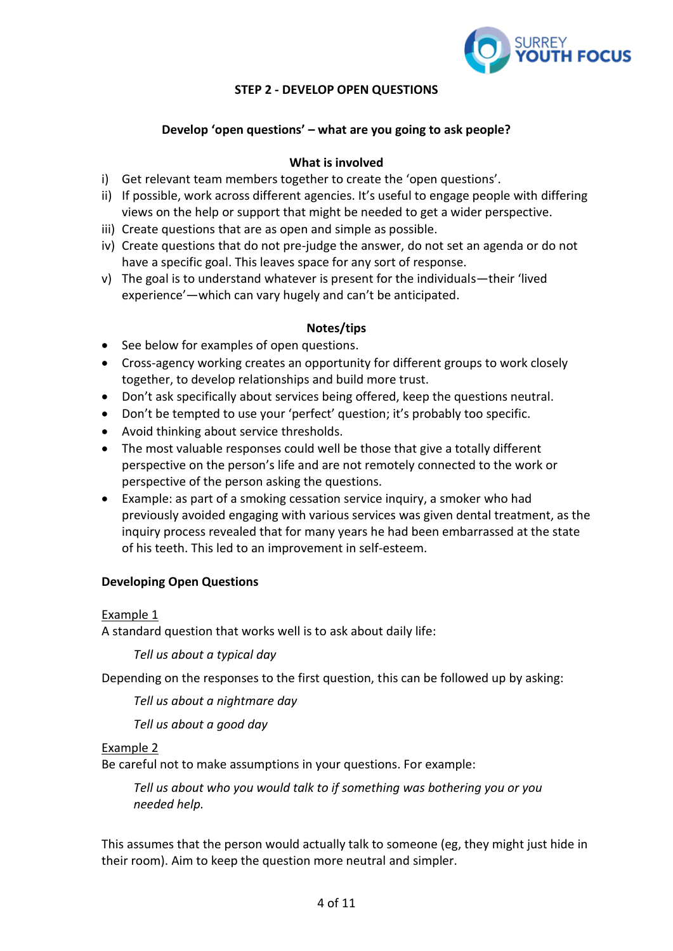

# **STEP 2 - DEVELOP OPEN QUESTIONS**

# **Develop 'open questions' – what are you going to ask people?**

# **What is involved**

- i) Get relevant team members together to create the 'open questions'.
- ii) If possible, work across different agencies. It's useful to engage people with differing views on the help or support that might be needed to get a wider perspective.
- iii) Create questions that are as open and simple as possible.
- iv) Create questions that do not pre-judge the answer, do not set an agenda or do not have a specific goal. This leaves space for any sort of response.
- v) The goal is to understand whatever is present for the individuals—their 'lived experience'—which can vary hugely and can't be anticipated.

#### **Notes/tips**

- See below for examples of open questions.
- Cross-agency working creates an opportunity for different groups to work closely together, to develop relationships and build more trust.
- Don't ask specifically about services being offered, keep the questions neutral.
- Don't be tempted to use your 'perfect' question; it's probably too specific.
- Avoid thinking about service thresholds.
- The most valuable responses could well be those that give a totally different perspective on the person's life and are not remotely connected to the work or perspective of the person asking the questions.
- Example: as part of a smoking cessation service inquiry, a smoker who had previously avoided engaging with various services was given dental treatment, as the inquiry process revealed that for many years he had been embarrassed at the state of his teeth. This led to an improvement in self-esteem.

#### **Developing Open Questions**

#### Example 1

A standard question that works well is to ask about daily life:

*Tell us about a typical day*

Depending on the responses to the first question, this can be followed up by asking:

*Tell us about a nightmare day*

*Tell us about a good day*

# Example 2

Be careful not to make assumptions in your questions. For example:

*Tell us about who you would talk to if something was bothering you or you needed help.*

This assumes that the person would actually talk to someone (eg, they might just hide in their room). Aim to keep the question more neutral and simpler.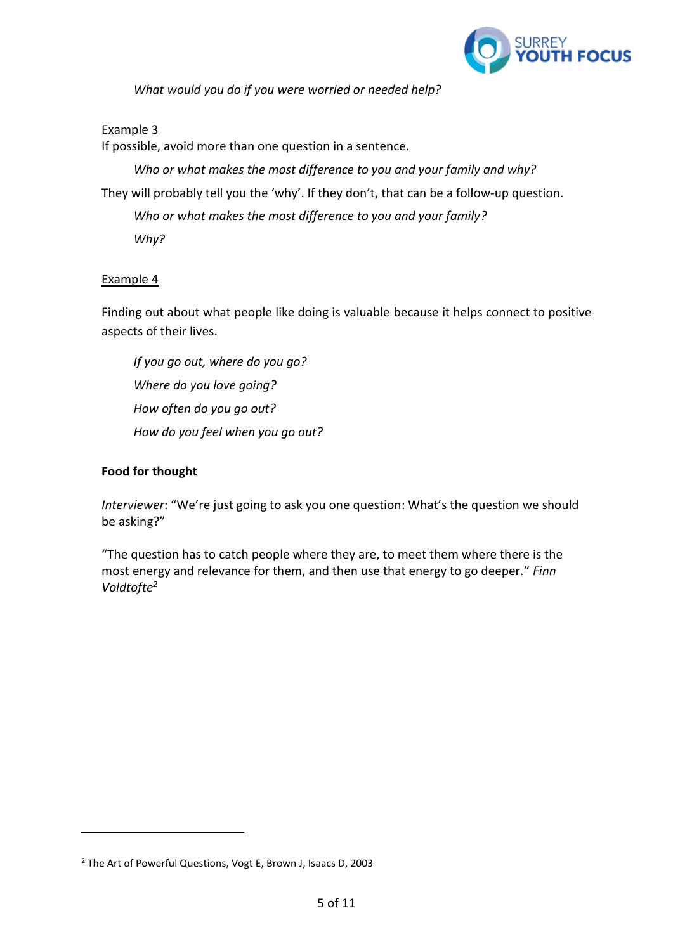

*What would you do if you were worried or needed help?*

# Example 3

If possible, avoid more than one question in a sentence.

*Who or what makes the most difference to you and your family and why?* They will probably tell you the 'why'. If they don't, that can be a follow-up question. *Who or what makes the most difference to you and your family? Why?*

# Example 4

Finding out about what people like doing is valuable because it helps connect to positive aspects of their lives.

*If you go out, where do you go? Where do you love going? How often do you go out? How do you feel when you go out?*

# **Food for thought**

*Interviewer*: "We're just going to ask you one question: What's the question we should be asking?"

"The question has to catch people where they are, to meet them where there is the most energy and relevance for them, and then use that energy to go deeper." *Finn Voldtofte<sup>2</sup>*

<sup>2</sup> The Art of Powerful Questions, Vogt E, Brown J, Isaacs D, 2003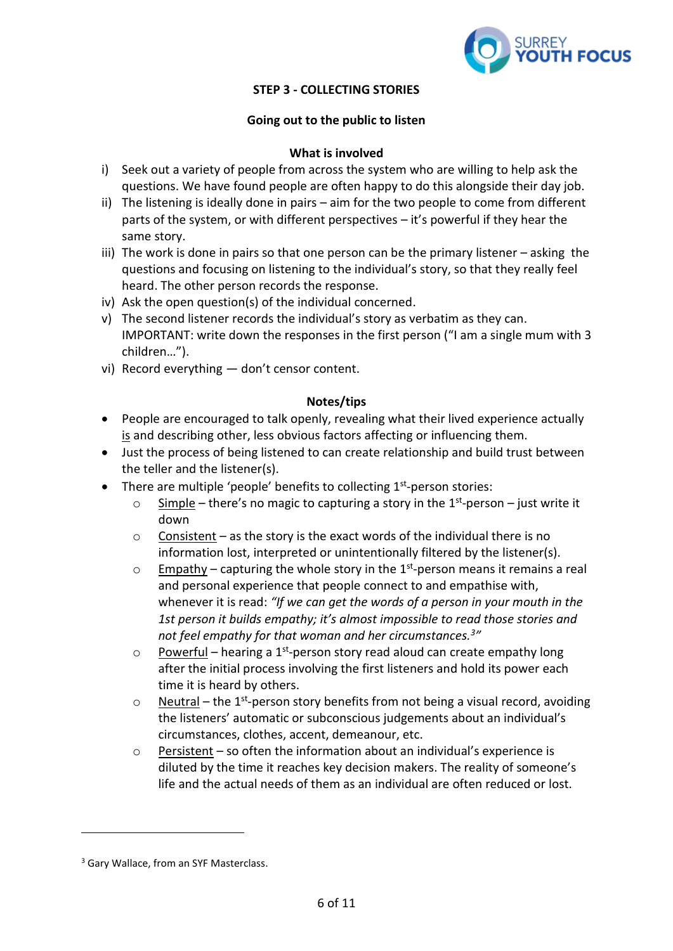

# **STEP 3 - COLLECTING STORIES**

# **Going out to the public to listen**

#### **What is involved**

- i) Seek out a variety of people from across the system who are willing to help ask the questions. We have found people are often happy to do this alongside their day job.
- ii) The listening is ideally done in pairs aim for the two people to come from different parts of the system, or with different perspectives – it's powerful if they hear the same story.
- iii) The work is done in pairs so that one person can be the primary listener asking the questions and focusing on listening to the individual's story, so that they really feel heard. The other person records the response.
- iv) Ask the open question(s) of the individual concerned.
- v) The second listener records the individual's story as verbatim as they can. IMPORTANT: write down the responses in the first person ("I am a single mum with 3 children…").
- vi) Record everything don't censor content.

#### **Notes/tips**

- People are encouraged to talk openly, revealing what their lived experience actually is and describing other, less obvious factors affecting or influencing them.
- Just the process of being listened to can create relationship and build trust between the teller and the listener(s).
- There are multiple 'people' benefits to collecting 1<sup>st</sup>-person stories:
	- $\circ$  Simple there's no magic to capturing a story in the 1<sup>st</sup>-person just write it down
	- $\circ$  Consistent as the story is the exact words of the individual there is no information lost, interpreted or unintentionally filtered by the listener(s).
	- $\circ$  Empathy capturing the whole story in the 1<sup>st</sup>-person means it remains a real and personal experience that people connect to and empathise with, whenever it is read: *"If we can get the words of a person in your mouth in the 1st person it builds empathy; it's almost impossible to read those stories and not feel empathy for that woman and her circumstances.<sup>3</sup> "*
	- $\circ$  Powerful hearing a 1<sup>st</sup>-person story read aloud can create empathy long after the initial process involving the first listeners and hold its power each time it is heard by others.
	- $\circ$  Neutral the 1<sup>st</sup>-person story benefits from not being a visual record, avoiding the listeners' automatic or subconscious judgements about an individual's circumstances, clothes, accent, demeanour, etc.
	- $\circ$  Persistent so often the information about an individual's experience is diluted by the time it reaches key decision makers. The reality of someone's life and the actual needs of them as an individual are often reduced or lost.

<sup>&</sup>lt;sup>3</sup> Gary Wallace, from an SYF Masterclass.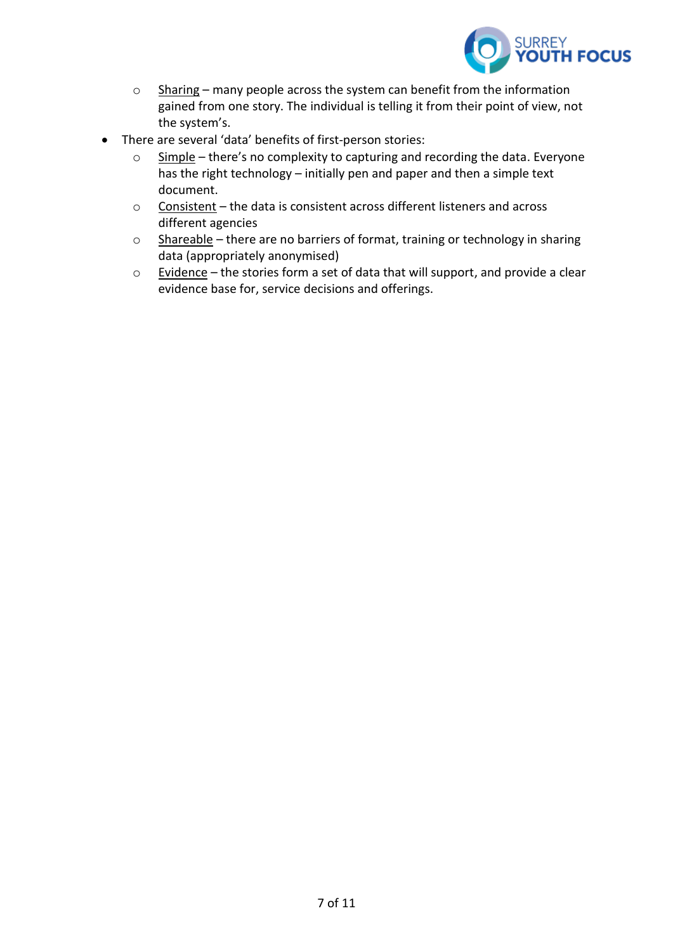

- o Sharing many people across the system can benefit from the information gained from one story. The individual is telling it from their point of view, not the system's.
- There are several 'data' benefits of first-person stories:
	- o Simple there's no complexity to capturing and recording the data. Everyone has the right technology – initially pen and paper and then a simple text document.
	- o Consistent the data is consistent across different listeners and across different agencies
	- o Shareable there are no barriers of format, training or technology in sharing data (appropriately anonymised)
	- o Evidence the stories form a set of data that will support, and provide a clear evidence base for, service decisions and offerings.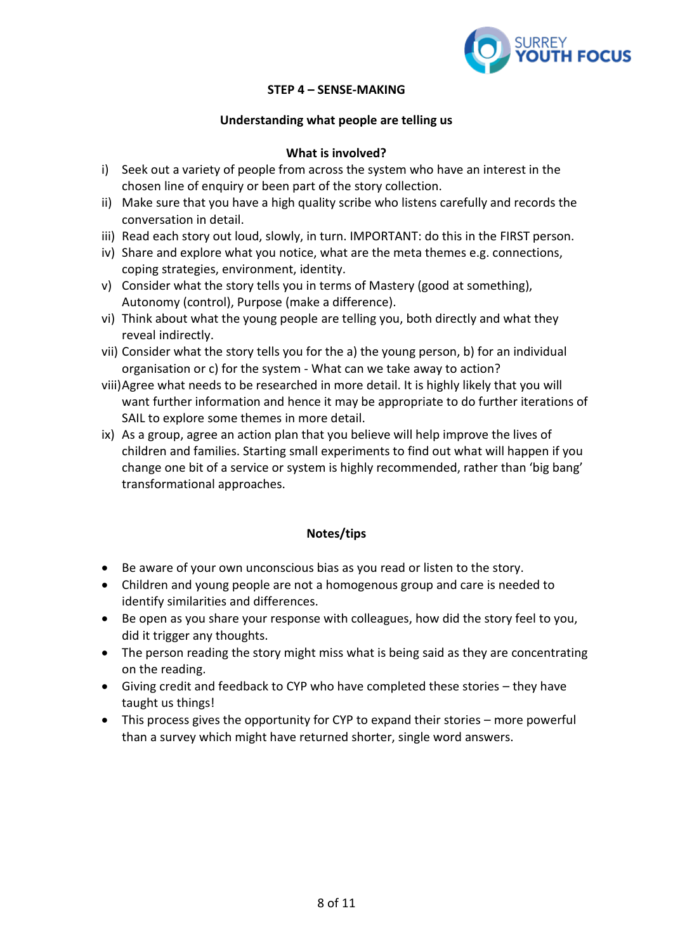

# **STEP 4 – SENSE-MAKING**

#### **Understanding what people are telling us**

# **What is involved?**

- i) Seek out a variety of people from across the system who have an interest in the chosen line of enquiry or been part of the story collection.
- ii) Make sure that you have a high quality scribe who listens carefully and records the conversation in detail.
- iii) Read each story out loud, slowly, in turn. IMPORTANT: do this in the FIRST person.
- iv) Share and explore what you notice, what are the meta themes e.g. connections, coping strategies, environment, identity.
- v) Consider what the story tells you in terms of Mastery (good at something), Autonomy (control), Purpose (make a difference).
- vi) Think about what the young people are telling you, both directly and what they reveal indirectly.
- vii) Consider what the story tells you for the a) the young person, b) for an individual organisation or c) for the system - What can we take away to action?
- viii)Agree what needs to be researched in more detail. It is highly likely that you will want further information and hence it may be appropriate to do further iterations of SAIL to explore some themes in more detail.
- ix) As a group, agree an action plan that you believe will help improve the lives of children and families. Starting small experiments to find out what will happen if you change one bit of a service or system is highly recommended, rather than 'big bang' transformational approaches.

#### **Notes/tips**

- Be aware of your own unconscious bias as you read or listen to the story.
- Children and young people are not a homogenous group and care is needed to identify similarities and differences.
- Be open as you share your response with colleagues, how did the story feel to you, did it trigger any thoughts.
- The person reading the story might miss what is being said as they are concentrating on the reading.
- Giving credit and feedback to CYP who have completed these stories they have taught us things!
- This process gives the opportunity for CYP to expand their stories more powerful than a survey which might have returned shorter, single word answers.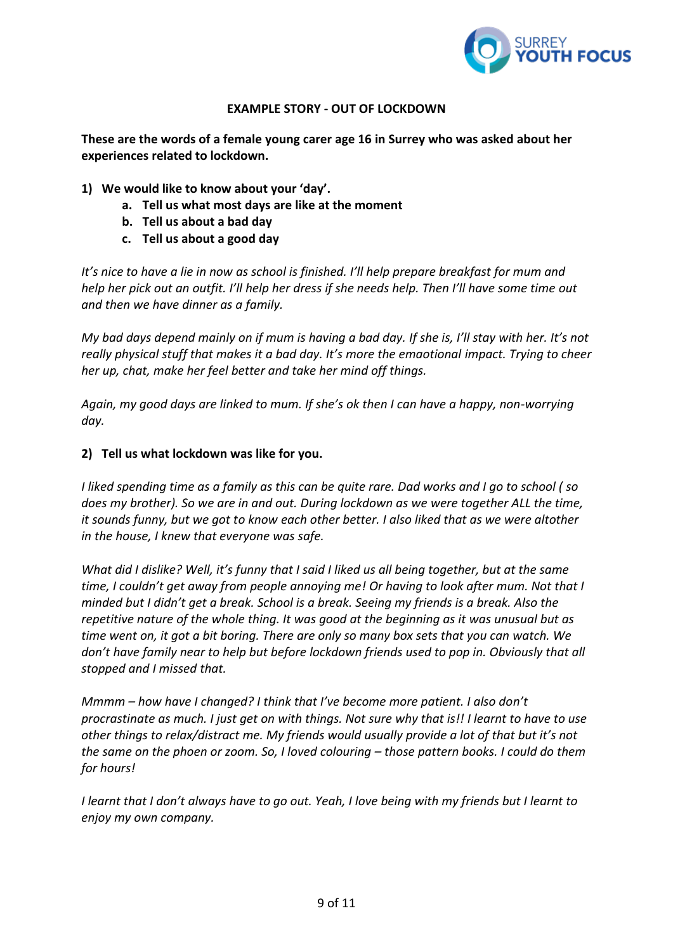

# **EXAMPLE STORY - OUT OF LOCKDOWN**

**These are the words of a female young carer age 16 in Surrey who was asked about her experiences related to lockdown.**

- **1) We would like to know about your 'day'.**
	- **a. Tell us what most days are like at the moment**
	- **b. Tell us about a bad day**
	- **c. Tell us about a good day**

*It's nice to have a lie in now as school is finished. I'll help prepare breakfast for mum and help her pick out an outfit. I'll help her dress if she needs help. Then I'll have some time out and then we have dinner as a family.*

*My bad days depend mainly on if mum is having a bad day. If she is, I'll stay with her. It's not really physical stuff that makes it a bad day. It's more the emaotional impact. Trying to cheer her up, chat, make her feel better and take her mind off things.*

*Again, my good days are linked to mum. If she's ok then I can have a happy, non-worrying day.*

#### **2) Tell us what lockdown was like for you.**

*I liked spending time as a family as this can be quite rare. Dad works and I go to school ( so does my brother). So we are in and out. During lockdown as we were together ALL the time, it sounds funny, but we got to know each other better. I also liked that as we were altother in the house, I knew that everyone was safe.*

*What did I dislike? Well, it's funny that I said I liked us all being together, but at the same time, I couldn't get away from people annoying me! Or having to look after mum. Not that I minded but I didn't get a break. School is a break. Seeing my friends is a break. Also the repetitive nature of the whole thing. It was good at the beginning as it was unusual but as time went on, it got a bit boring. There are only so many box sets that you can watch. We don't have family near to help but before lockdown friends used to pop in. Obviously that all stopped and I missed that.*

*Mmmm – how have I changed? I think that I've become more patient. I also don't procrastinate as much. I just get on with things. Not sure why that is!! I learnt to have to use other things to relax/distract me. My friends would usually provide a lot of that but it's not the same on the phoen or zoom. So, I loved colouring – those pattern books. I could do them for hours!*

*I learnt that I don't always have to go out. Yeah, I love being with my friends but I learnt to enjoy my own company.*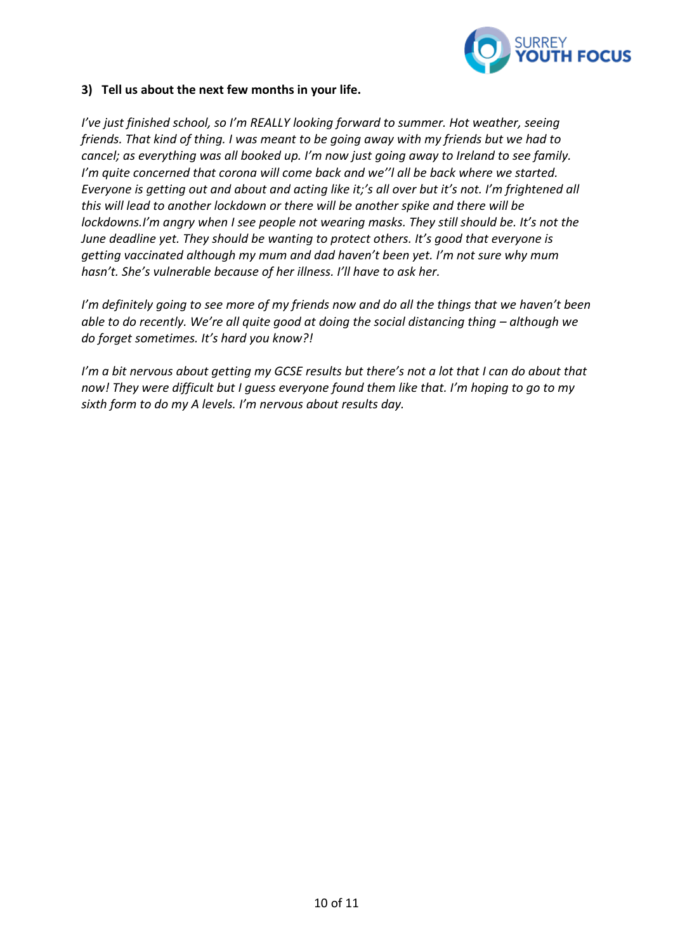

# **3) Tell us about the next few months in your life.**

*I've just finished school, so I'm REALLY looking forward to summer. Hot weather, seeing friends. That kind of thing. I was meant to be going away with my friends but we had to cancel; as everything was all booked up. I'm now just going away to Ireland to see family. I'm quite concerned that corona will come back and we''l all be back where we started. Everyone is getting out and about and acting like it;'s all over but it's not. I'm frightened all this will lead to another lockdown or there will be another spike and there will be lockdowns.I'm angry when I see people not wearing masks. They still should be. It's not the June deadline yet. They should be wanting to protect others. It's good that everyone is getting vaccinated although my mum and dad haven't been yet. I'm not sure why mum hasn't. She's vulnerable because of her illness. I'll have to ask her.* 

*I'm definitely going to see more of my friends now and do all the things that we haven't been able to do recently. We're all quite good at doing the social distancing thing – although we do forget sometimes. It's hard you know?!*

*I'm a bit nervous about getting my GCSE results but there's not a lot that I can do about that now! They were difficult but I guess everyone found them like that. I'm hoping to go to my sixth form to do my A levels. I'm nervous about results day.*